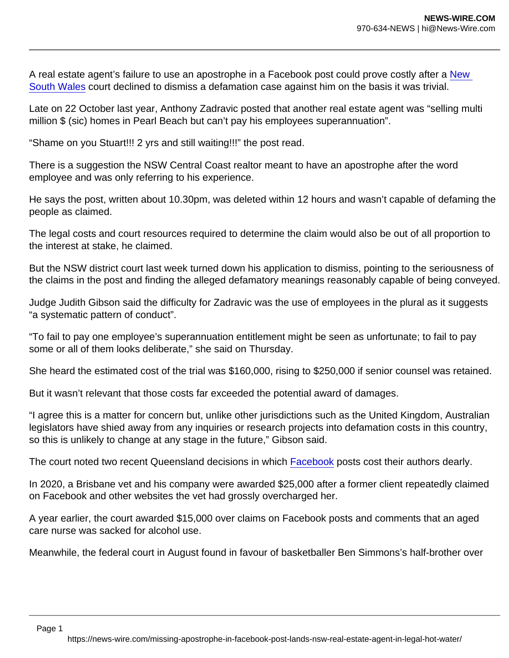A real estate agent's failure to use an apostrophe in a Facebook post could prove costly after a [New](https://www.theguardian.com/australia-news/new-south-wales)  [South Wales](https://www.theguardian.com/australia-news/new-south-wales) court declined to dismiss a defamation case against him on the basis it was trivial.

Late on 22 October last year, Anthony Zadravic posted that another real estate agent was "selling multi million \$ (sic) homes in Pearl Beach but can't pay his employees superannuation".

"Shame on you Stuart!!! 2 yrs and still waiting!!!" the post read.

There is a suggestion the NSW Central Coast realtor meant to have an apostrophe after the word employee and was only referring to his experience.

He says the post, written about 10.30pm, was deleted within 12 hours and wasn't capable of defaming the people as claimed.

The legal costs and court resources required to determine the claim would also be out of all proportion to the interest at stake, he claimed.

But the NSW district court last week turned down his application to dismiss, pointing to the seriousness of the claims in the post and finding the alleged defamatory meanings reasonably capable of being conveyed.

Judge Judith Gibson said the difficulty for Zadravic was the use of employees in the plural as it suggests "a systematic pattern of conduct".

"To fail to pay one employee's superannuation entitlement might be seen as unfortunate; to fail to pay some or all of them looks deliberate," she said on Thursday.

She heard the estimated cost of the trial was \$160,000, rising to \$250,000 if senior counsel was retained.

But it wasn't relevant that those costs far exceeded the potential award of damages.

"I agree this is a matter for concern but, unlike other jurisdictions such as the United Kingdom, Australian legislators have shied away from any inquiries or research projects into defamation costs in this country, so this is unlikely to change at any stage in the future," Gibson said.

The court noted two recent Queensland decisions in which [Facebook](https://www.theguardian.com/technology/facebook) posts cost their authors dearly.

In 2020, a Brisbane vet and his company were awarded \$25,000 after a former client repeatedly claimed on Facebook and other websites the vet had grossly overcharged her.

A year earlier, the court awarded \$15,000 over claims on Facebook posts and comments that an aged care nurse was sacked for alcohol use.

Meanwhile, the federal court in August found in favour of basketballer Ben Simmons's half-brother over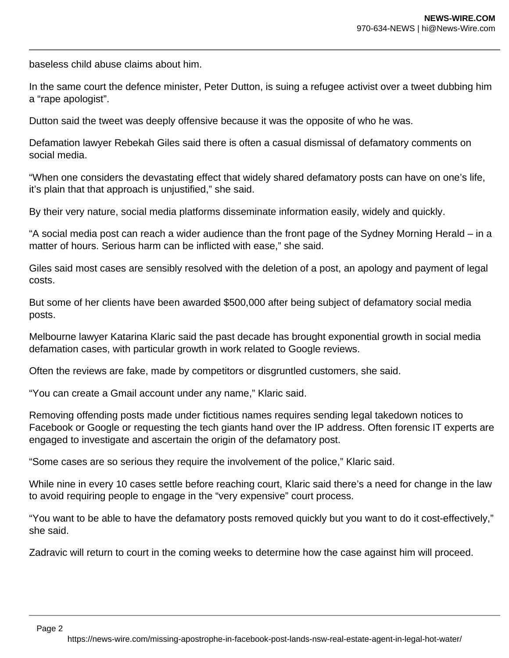baseless child abuse claims about him.

In the same court the defence minister, Peter Dutton, is suing a refugee activist over a tweet dubbing him a "rape apologist".

Dutton said the tweet was deeply offensive because it was the opposite of who he was.

Defamation lawyer Rebekah Giles said there is often a casual dismissal of defamatory comments on social media.

"When one considers the devastating effect that widely shared defamatory posts can have on one's life, it's plain that that approach is unjustified," she said.

By their very nature, social media platforms disseminate information easily, widely and quickly.

"A social media post can reach a wider audience than the front page of the Sydney Morning Herald – in a matter of hours. Serious harm can be inflicted with ease," she said.

Giles said most cases are sensibly resolved with the deletion of a post, an apology and payment of legal costs.

But some of her clients have been awarded \$500,000 after being subject of defamatory social media posts.

Melbourne lawyer Katarina Klaric said the past decade has brought exponential growth in social media defamation cases, with particular growth in work related to Google reviews.

Often the reviews are fake, made by competitors or disgruntled customers, she said.

"You can create a Gmail account under any name," Klaric said.

Removing offending posts made under fictitious names requires sending legal takedown notices to Facebook or Google or requesting the tech giants hand over the IP address. Often forensic IT experts are engaged to investigate and ascertain the origin of the defamatory post.

"Some cases are so serious they require the involvement of the police," Klaric said.

While nine in every 10 cases settle before reaching court, Klaric said there's a need for change in the law to avoid requiring people to engage in the "very expensive" court process.

"You want to be able to have the defamatory posts removed quickly but you want to do it cost-effectively," she said.

Zadravic will return to court in the coming weeks to determine how the case against him will proceed.